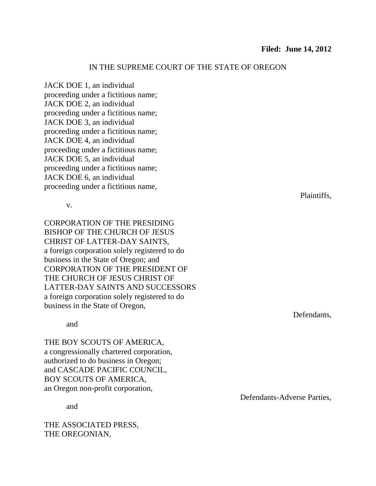## IN THE SUPREME COURT OF THE STATE OF OREGON

JACK DOE 1, an individual proceeding under a fictitious name; JACK DOE 2, an individual proceeding under a fictitious name; JACK DOE 3, an individual proceeding under a fictitious name; JACK DOE 4, an individual proceeding under a fictitious name; JACK DOE 5, an individual proceeding under a fictitious name; JACK DOE 6, an individual proceeding under a fictitious name,

v.

CORPORATION OF THE PRESIDING BISHOP OF THE CHURCH OF JESUS CHRIST OF LATTER-DAY SAINTS, a foreign corporation solely registered to do business in the State of Oregon; and CORPORATION OF THE PRESIDENT OF THE CHURCH OF JESUS CHRIST OF LATTER-DAY SAINTS AND SUCCESSORS a foreign corporation solely registered to do business in the State of Oregon,

and

THE BOY SCOUTS OF AMERICA, a congressionally chartered corporation, authorized to do business in Oregon; and CASCADE PACIFIC COUNCIL, BOY SCOUTS OF AMERICA, an Oregon non-profit corporation,

and

THE ASSOCIATED PRESS, THE OREGONIAN,

Plaintiffs,

Defendants,

Defendants-Adverse Parties,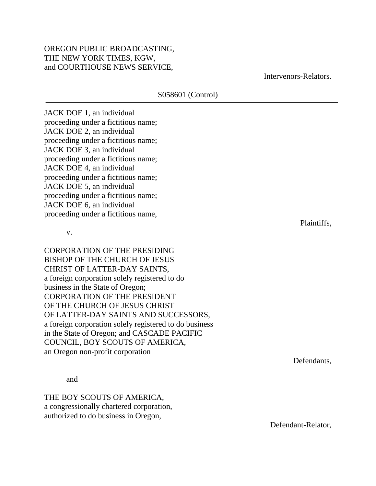## OREGON PUBLIC BROADCASTING, THE NEW YORK TIMES, KGW, and COURTHOUSE NEWS SERVICE,

S058601 (Control)

Intervenors-Relators.

JACK DOE 1, an individual proceeding under a fictitious name; JACK DOE 2, an individual proceeding under a fictitious name; JACK DOE 3, an individual proceeding under a fictitious name; JACK DOE 4, an individual proceeding under a fictitious name; JACK DOE 5, an individual proceeding under a fictitious name; JACK DOE 6, an individual proceeding under a fictitious name,

v.

CORPORATION OF THE PRESIDING BISHOP OF THE CHURCH OF JESUS CHRIST OF LATTER-DAY SAINTS, a foreign corporation solely registered to do business in the State of Oregon; CORPORATION OF THE PRESIDENT OF THE CHURCH OF JESUS CHRIST OF LATTER-DAY SAINTS AND SUCCESSORS, a foreign corporation solely registered to do business in the State of Oregon; and CASCADE PACIFIC COUNCIL, BOY SCOUTS OF AMERICA, an Oregon non-profit corporation

and

THE BOY SCOUTS OF AMERICA, a congressionally chartered corporation, authorized to do business in Oregon,

Plaintiffs,

Defendants,

Defendant-Relator,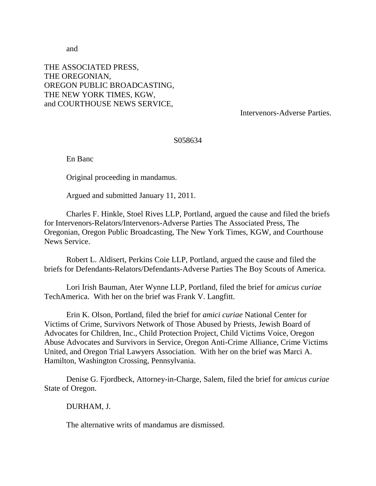and

## THE ASSOCIATED PRESS, THE OREGONIAN, OREGON PUBLIC BROADCASTING, THE NEW YORK TIMES, KGW, and COURTHOUSE NEWS SERVICE,

Intervenors-Adverse Parties.

## S058634

En Banc

Original proceeding in mandamus.

Argued and submitted January 11, 2011.

Charles F. Hinkle, Stoel Rives LLP, Portland, argued the cause and filed the briefs for Intervenors-Relators/Intervenors-Adverse Parties The Associated Press, The Oregonian, Oregon Public Broadcasting, The New York Times, KGW, and Courthouse News Service.

Robert L. Aldisert, Perkins Coie LLP, Portland, argued the cause and filed the briefs for Defendants-Relators/Defendants-Adverse Parties The Boy Scouts of America.

Lori Irish Bauman, Ater Wynne LLP, Portland, filed the brief for *amicus curiae*  TechAmerica. With her on the brief was Frank V. Langfitt.

Erin K. Olson, Portland, filed the brief for *amici curiae* National Center for Victims of Crime, Survivors Network of Those Abused by Priests, Jewish Board of Advocates for Children, Inc., Child Protection Project, Child Victims Voice, Oregon Abuse Advocates and Survivors in Service, Oregon Anti-Crime Alliance, Crime Victims United, and Oregon Trial Lawyers Association. With her on the brief was Marci A. Hamilton, Washington Crossing, Pennsylvania.

Denise G. Fjordbeck, Attorney-in-Charge, Salem, filed the brief for *amicus curiae* State of Oregon.

DURHAM, J.

The alternative writs of mandamus are dismissed.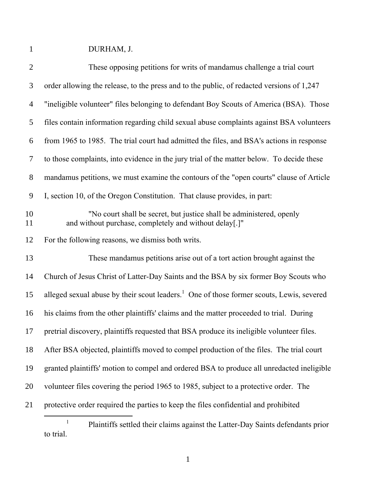DURHAM, J.

| $\overline{2}$ | These opposing petitions for writs of mandamus challenge a trial court                                                         |
|----------------|--------------------------------------------------------------------------------------------------------------------------------|
| 3              | order allowing the release, to the press and to the public, of redacted versions of 1,247                                      |
| $\overline{4}$ | "ineligible volunteer" files belonging to defendant Boy Scouts of America (BSA). Those                                         |
| 5              | files contain information regarding child sexual abuse complaints against BSA volunteers                                       |
| 6              | from 1965 to 1985. The trial court had admitted the files, and BSA's actions in response                                       |
| $\tau$         | to those complaints, into evidence in the jury trial of the matter below. To decide these                                      |
| $8\,$          | mandamus petitions, we must examine the contours of the "open courts" clause of Article                                        |
| 9              | I, section 10, of the Oregon Constitution. That clause provides, in part:                                                      |
| 10<br>11       | "No court shall be secret, but justice shall be administered, openly<br>and without purchase, completely and without delay[.]" |
| 12             | For the following reasons, we dismiss both writs.                                                                              |
| 13             | These mandamus petitions arise out of a tort action brought against the                                                        |
| 14             | Church of Jesus Christ of Latter-Day Saints and the BSA by six former Boy Scouts who                                           |
| 15             | alleged sexual abuse by their scout leaders. <sup>1</sup> One of those former scouts, Lewis, severed                           |
| 16             | his claims from the other plaintiffs' claims and the matter proceeded to trial. During                                         |
| 17             | pretrial discovery, plaintiffs requested that BSA produce its ineligible volunteer files.                                      |
| 18             | After BSA objected, plaintiffs moved to compel production of the files. The trial court                                        |
| 19             | granted plaintiffs' motion to compel and ordered BSA to produce all unredacted ineligible                                      |
| 20             | volunteer files covering the period 1965 to 1985, subject to a protective order. The                                           |
| 21             | protective order required the parties to keep the files confidential and prohibited                                            |
|                |                                                                                                                                |

 Plaintiffs settled their claims against the Latter-Day Saints defendants prior to trial.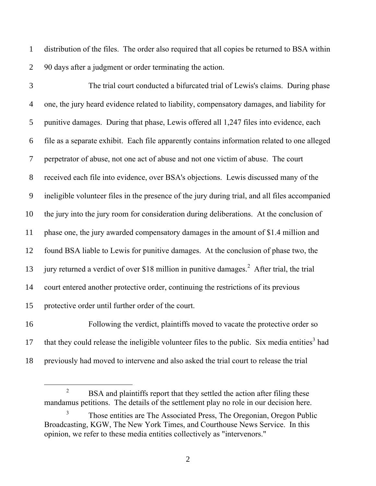distribution of the files. The order also required that all copies be returned to BSA within 90 days after a judgment or order terminating the action.

 The trial court conducted a bifurcated trial of Lewis's claims. During phase one, the jury heard evidence related to liability, compensatory damages, and liability for punitive damages. During that phase, Lewis offered all 1,247 files into evidence, each file as a separate exhibit. Each file apparently contains information related to one alleged perpetrator of abuse, not one act of abuse and not one victim of abuse. The court received each file into evidence, over BSA's objections. Lewis discussed many of the ineligible volunteer files in the presence of the jury during trial, and all files accompanied the jury into the jury room for consideration during deliberations. At the conclusion of phase one, the jury awarded compensatory damages in the amount of \$1.4 million and found BSA liable to Lewis for punitive damages. At the conclusion of phase two, the 13 jury returned a verdict of over \$18 million in punitive damages.<sup>2</sup> After trial, the trial court entered another protective order, continuing the restrictions of its previous protective order until further order of the court.

 Following the verdict, plaintiffs moved to vacate the protective order so 17 that they could release the ineligible volunteer files to the public. Six media entities<sup>3</sup> had previously had moved to intervene and also asked the trial court to release the trial

<sup>&</sup>lt;sup>2</sup> BSA and plaintiffs report that they settled the action after filing these mandamus petitions. The details of the settlement play no role in our decision here.

 Those entities are The Associated Press, The Oregonian, Oregon Public Broadcasting, KGW, The New York Times, and Courthouse News Service. In this opinion, we refer to these media entities collectively as "intervenors."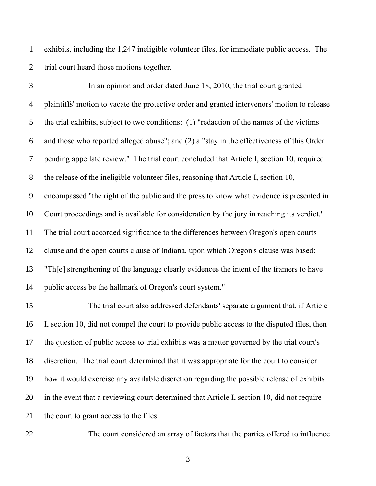exhibits, including the 1,247 ineligible volunteer files, for immediate public access. The trial court heard those motions together.

 In an opinion and order dated June 18, 2010, the trial court granted plaintiffs' motion to vacate the protective order and granted intervenors' motion to release the trial exhibits, subject to two conditions: (1) "redaction of the names of the victims and those who reported alleged abuse"; and (2) a "stay in the effectiveness of this Order pending appellate review." The trial court concluded that Article I, section 10, required the release of the ineligible volunteer files, reasoning that Article I, section 10, encompassed "the right of the public and the press to know what evidence is presented in Court proceedings and is available for consideration by the jury in reaching its verdict." The trial court accorded significance to the differences between Oregon's open courts clause and the open courts clause of Indiana, upon which Oregon's clause was based: "Th[e] strengthening of the language clearly evidences the intent of the framers to have public access be the hallmark of Oregon's court system."

 The trial court also addressed defendants' separate argument that, if Article I, section 10, did not compel the court to provide public access to the disputed files, then the question of public access to trial exhibits was a matter governed by the trial court's discretion. The trial court determined that it was appropriate for the court to consider how it would exercise any available discretion regarding the possible release of exhibits in the event that a reviewing court determined that Article I, section 10, did not require the court to grant access to the files.

The court considered an array of factors that the parties offered to influence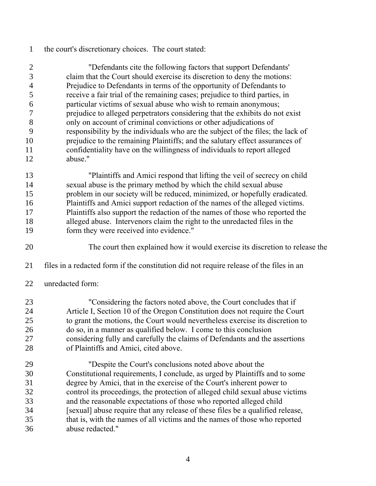the court's discretionary choices. The court stated:

 "Defendants cite the following factors that support Defendants' claim that the Court should exercise its discretion to deny the motions: Prejudice to Defendants in terms of the opportunity of Defendants to receive a fair trial of the remaining cases; prejudice to third parties, in particular victims of sexual abuse who wish to remain anonymous; prejudice to alleged perpetrators considering that the exhibits do not exist only on account of criminal convictions or other adjudications of responsibility by the individuals who are the subject of the files; the lack of prejudice to the remaining Plaintiffs; and the salutary effect assurances of confidentiality have on the willingness of individuals to report alleged abuse."

 "Plaintiffs and Amici respond that lifting the veil of secrecy on child sexual abuse is the primary method by which the child sexual abuse problem in our society will be reduced, minimized, or hopefully eradicated. Plaintiffs and Amici support redaction of the names of the alleged victims. Plaintiffs also support the redaction of the names of those who reported the alleged abuse. Intervenors claim the right to the unredacted files in the form they were received into evidence."

The court then explained how it would exercise its discretion to release the

- files in a redacted form if the constitution did not require release of the files in an
- unredacted form:

 "Considering the factors noted above, the Court concludes that if Article I, Section 10 of the Oregon Constitution does not require the Court to grant the motions, the Court would nevertheless exercise its discretion to do so, in a manner as qualified below. I come to this conclusion considering fully and carefully the claims of Defendants and the assertions of Plaintiffs and Amici, cited above.

 "Despite the Court's conclusions noted above about the Constitutional requirements, I conclude, as urged by Plaintiffs and to some degree by Amici, that in the exercise of the Court's inherent power to control its proceedings, the protection of alleged child sexual abuse victims and the reasonable expectations of those who reported alleged child [sexual] abuse require that any release of these files be a qualified release, that is, with the names of all victims and the names of those who reported abuse redacted."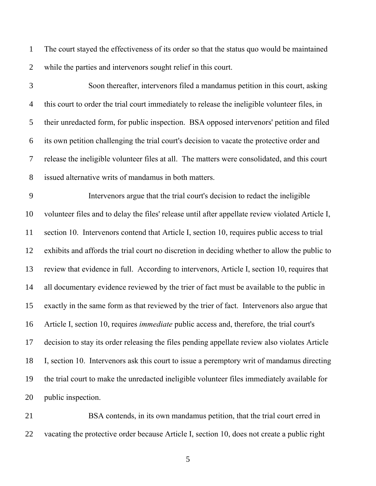The court stayed the effectiveness of its order so that the status quo would be maintained while the parties and intervenors sought relief in this court.

 Soon thereafter, intervenors filed a mandamus petition in this court, asking this court to order the trial court immediately to release the ineligible volunteer files, in their unredacted form, for public inspection. BSA opposed intervenors' petition and filed its own petition challenging the trial court's decision to vacate the protective order and release the ineligible volunteer files at all. The matters were consolidated, and this court issued alternative writs of mandamus in both matters.

 Intervenors argue that the trial court's decision to redact the ineligible volunteer files and to delay the files' release until after appellate review violated Article I, section 10. Intervenors contend that Article I, section 10, requires public access to trial exhibits and affords the trial court no discretion in deciding whether to allow the public to review that evidence in full. According to intervenors, Article I, section 10, requires that all documentary evidence reviewed by the trier of fact must be available to the public in exactly in the same form as that reviewed by the trier of fact. Intervenors also argue that Article I, section 10, requires *immediate* public access and, therefore, the trial court's decision to stay its order releasing the files pending appellate review also violates Article I, section 10. Intervenors ask this court to issue a peremptory writ of mandamus directing the trial court to make the unredacted ineligible volunteer files immediately available for public inspection.

 BSA contends, in its own mandamus petition, that the trial court erred in vacating the protective order because Article I, section 10, does not create a public right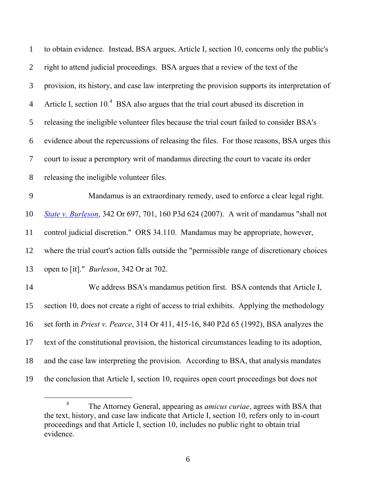| $\mathbf{1}$   | to obtain evidence. Instead, BSA argues, Article I, section 10, concerns only the public's        |
|----------------|---------------------------------------------------------------------------------------------------|
| $\overline{2}$ | right to attend judicial proceedings. BSA argues that a review of the text of the                 |
| 3              | provision, its history, and case law interpreting the provision supports its interpretation of    |
| $\overline{4}$ | Article I, section 10. <sup>4</sup> BSA also argues that the trial court abused its discretion in |
| 5              | releasing the ineligible volunteer files because the trial court failed to consider BSA's         |
| 6              | evidence about the repercussions of releasing the files. For those reasons, BSA urges this        |
| 7              | court to issue a peremptory writ of mandamus directing the court to vacate its order              |
| 8              | releasing the ineligible volunteer files.                                                         |
| 9              | Mandamus is an extraordinary remedy, used to enforce a clear legal right.                         |
| 10             | State v. Burleson, 342 Or 697, 701, 160 P3d 624 (2007). A writ of mandamus "shall not             |
| 11             | control judicial discretion." ORS 34.110. Mandamus may be appropriate, however,                   |
| 12             | where the trial court's action falls outside the "permissible range of discretionary choices      |
| 13             | open to [it]." <i>Burleson</i> , 342 Or at 702.                                                   |
| 14             | We address BSA's mandamus petition first. BSA contends that Article I,                            |
| 15             | section 10, does not create a right of access to trial exhibits. Applying the methodology         |
| 16             | set forth in Priest v. Pearce, 314 Or 411, 415-16, 840 P2d 65 (1992), BSA analyzes the            |
| 17             | text of the constitutional provision, the historical circumstances leading to its adoption,       |
| 18             | and the case law interpreting the provision. According to BSA, that analysis mandates             |
| 19             | the conclusion that Article I, section 10, requires open court proceedings but does not           |

 The Attorney General, appearing as *amicus curiae*, agrees with BSA that the text, history, and case law indicate that Article I, section 10, refers only to in-court proceedings and that Article I, section 10, includes no public right to obtain trial evidence.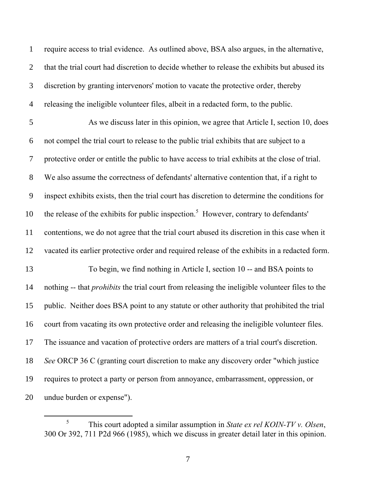require access to trial evidence. As outlined above, BSA also argues, in the alternative, that the trial court had discretion to decide whether to release the exhibits but abused its discretion by granting intervenors' motion to vacate the protective order, thereby releasing the ineligible volunteer files, albeit in a redacted form, to the public. As we discuss later in this opinion, we agree that Article I, section 10, does not compel the trial court to release to the public trial exhibits that are subject to a protective order or entitle the public to have access to trial exhibits at the close of trial. We also assume the correctness of defendants' alternative contention that, if a right to inspect exhibits exists, then the trial court has discretion to determine the conditions for 10 the release of the exhibits for public inspection.<sup>5</sup> However, contrary to defendants' contentions, we do not agree that the trial court abused its discretion in this case when it vacated its earlier protective order and required release of the exhibits in a redacted form. To begin, we find nothing in Article I, section 10 -- and BSA points to nothing -- that *prohibits* the trial court from releasing the ineligible volunteer files to the public. Neither does BSA point to any statute or other authority that prohibited the trial court from vacating its own protective order and releasing the ineligible volunteer files. The issuance and vacation of protective orders are matters of a trial court's discretion. *See* ORCP 36 C (granting court discretion to make any discovery order "which justice requires to protect a party or person from annoyance, embarrassment, oppression, or undue burden or expense").

 $\overline{a}$ 

 This court adopted a similar assumption in *State ex rel KOIN-TV v. Olsen*, 300 Or 392, 711 P2d 966 (1985), which we discuss in greater detail later in this opinion.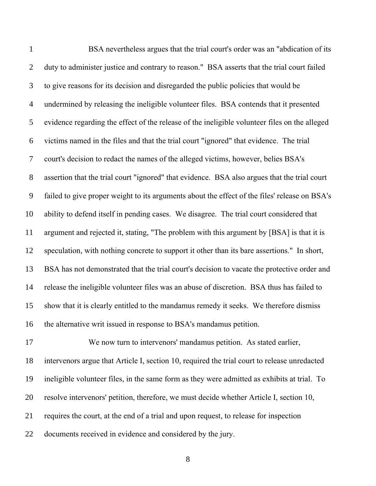| $\mathbf{1}$   | BSA nevertheless argues that the trial court's order was an "abdication of its                |
|----------------|-----------------------------------------------------------------------------------------------|
| $\overline{2}$ | duty to administer justice and contrary to reason." BSA asserts that the trial court failed   |
| 3              | to give reasons for its decision and disregarded the public policies that would be            |
| $\overline{4}$ | undermined by releasing the ineligible volunteer files. BSA contends that it presented        |
| 5              | evidence regarding the effect of the release of the ineligible volunteer files on the alleged |
| 6              | victims named in the files and that the trial court "ignored" that evidence. The trial        |
| $\overline{7}$ | court's decision to redact the names of the alleged victims, however, belies BSA's            |
| 8              | assertion that the trial court "ignored" that evidence. BSA also argues that the trial court  |
| 9              | failed to give proper weight to its arguments about the effect of the files' release on BSA's |
| 10             | ability to defend itself in pending cases. We disagree. The trial court considered that       |
| 11             | argument and rejected it, stating, "The problem with this argument by [BSA] is that it is     |
| 12             | speculation, with nothing concrete to support it other than its bare assertions." In short,   |
| 13             | BSA has not demonstrated that the trial court's decision to vacate the protective order and   |
| 14             | release the ineligible volunteer files was an abuse of discretion. BSA thus has failed to     |
| 15             | show that it is clearly entitled to the mandamus remedy it seeks. We therefore dismiss        |
| 16             | the alternative writ issued in response to BSA's mandamus petition.                           |
| 17             | We now turn to intervenors' mandamus petition. As stated earlier,                             |
| 18             | intervenors argue that Article I, section 10, required the trial court to release unredacted  |
| 19             | ineligible volunteer files, in the same form as they were admitted as exhibits at trial. To   |
| 20             | resolve intervenors' petition, therefore, we must decide whether Article I, section 10,       |
|                |                                                                                               |

requires the court, at the end of a trial and upon request, to release for inspection

documents received in evidence and considered by the jury.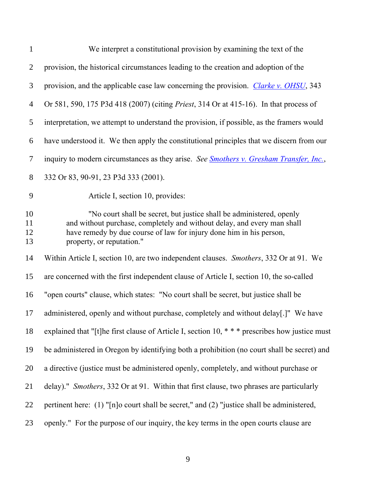| $\mathbf{1}$         | We interpret a constitutional provision by examining the text of the                                                                                                                                                                                |
|----------------------|-----------------------------------------------------------------------------------------------------------------------------------------------------------------------------------------------------------------------------------------------------|
| $\overline{2}$       | provision, the historical circumstances leading to the creation and adoption of the                                                                                                                                                                 |
| 3                    | provision, and the applicable case law concerning the provision. Clarke v. OHSU, 343                                                                                                                                                                |
| $\overline{4}$       | Or 581, 590, 175 P3d 418 (2007) (citing <i>Priest</i> , 314 Or at 415-16). In that process of                                                                                                                                                       |
| 5                    | interpretation, we attempt to understand the provision, if possible, as the framers would                                                                                                                                                           |
| 6                    | have understood it. We then apply the constitutional principles that we discern from our                                                                                                                                                            |
| 7                    | inquiry to modern circumstances as they arise. See <b>Smothers v. Gresham Transfer, Inc.</b> ,                                                                                                                                                      |
| 8                    | 332 Or 83, 90-91, 23 P3d 333 (2001).                                                                                                                                                                                                                |
| 9                    | Article I, section 10, provides:                                                                                                                                                                                                                    |
| 10<br>11<br>12<br>13 | "No court shall be secret, but justice shall be administered, openly<br>and without purchase, completely and without delay, and every man shall<br>have remedy by due course of law for injury done him in his person,<br>property, or reputation." |
| 14                   | Within Article I, section 10, are two independent clauses. Smothers, 332 Or at 91. We                                                                                                                                                               |
| 15                   | are concerned with the first independent clause of Article I, section 10, the so-called                                                                                                                                                             |
| 16                   | "open courts" clause, which states: "No court shall be secret, but justice shall be                                                                                                                                                                 |
| 17                   | administered, openly and without purchase, completely and without delay[.]" We have                                                                                                                                                                 |
| 18                   | explained that "[t]he first clause of Article I, section 10, *** prescribes how justice must                                                                                                                                                        |
| 19                   | be administered in Oregon by identifying both a prohibition (no court shall be secret) and                                                                                                                                                          |
| 20                   | a directive (justice must be administered openly, completely, and without purchase or                                                                                                                                                               |
| 21                   | delay)." Smothers, 332 Or at 91. Within that first clause, two phrases are particularly                                                                                                                                                             |
| 22                   | pertinent here: (1) "[n]o court shall be secret," and (2) "justice shall be administered,                                                                                                                                                           |
| 23                   | openly." For the purpose of our inquiry, the key terms in the open courts clause are                                                                                                                                                                |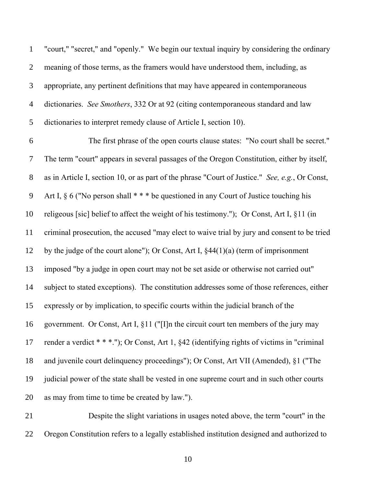| $\mathbf{1}$        | "court," "secret," and "openly." We begin our textual inquiry by considering the ordinary      |
|---------------------|------------------------------------------------------------------------------------------------|
| $\overline{2}$      | meaning of those terms, as the framers would have understood them, including, as               |
| 3                   | appropriate, any pertinent definitions that may have appeared in contemporaneous               |
| 4                   | dictionaries. See Smothers, 332 Or at 92 (citing contemporaneous standard and law              |
| 5                   | dictionaries to interpret remedy clause of Article I, section 10).                             |
| 6                   | The first phrase of the open courts clause states: "No court shall be secret."                 |
| 7                   | The term "court" appears in several passages of the Oregon Constitution, either by itself,     |
| 8                   | as in Article I, section 10, or as part of the phrase "Court of Justice." See, e.g., Or Const, |
| 9                   | Art I, $\S$ 6 ("No person shall $**$ " be questioned in any Court of Justice touching his      |
| 10                  | religeous [sic] belief to affect the weight of his testimony."); Or Const, Art I, §11 (in      |
| 11                  | criminal prosecution, the accused "may elect to waive trial by jury and consent to be tried    |
| 12                  | by the judge of the court alone"); Or Const, Art I, $§44(1)(a)$ (term of imprisonment          |
| 13                  | imposed "by a judge in open court may not be set aside or otherwise not carried out"           |
| 14                  | subject to stated exceptions). The constitution addresses some of those references, either     |
| 15                  | expressly or by implication, to specific courts within the judicial branch of the              |
| 16                  | government. Or Const, Art I, §11 ("[I]n the circuit court ten members of the jury may          |
| 17                  | render a verdict * * *."); Or Const, Art 1, §42 (identifying rights of victims in "criminal    |
| 18                  | and juvenile court delinquency proceedings"); Or Const, Art VII (Amended), §1 ("The            |
| 19                  | judicial power of the state shall be vested in one supreme court and in such other courts      |
| 20                  | as may from time to time be created by law.").                                                 |
| $\mathbf{\Omega}$ 1 | Decrits the clight veriotions in usegge noted above, the term "equat" in the                   |

 Despite the slight variations in usages noted above, the term "court" in the Oregon Constitution refers to a legally established institution designed and authorized to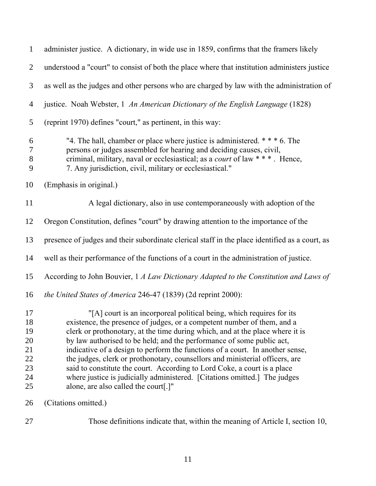| $\mathbf{1}$                                       | administer justice. A dictionary, in wide use in 1859, confirms that the framers likely                                                                                                                                                                                                                                                                                                                                                                                                                                                                                                                                                                                     |
|----------------------------------------------------|-----------------------------------------------------------------------------------------------------------------------------------------------------------------------------------------------------------------------------------------------------------------------------------------------------------------------------------------------------------------------------------------------------------------------------------------------------------------------------------------------------------------------------------------------------------------------------------------------------------------------------------------------------------------------------|
| 2                                                  | understood a "court" to consist of both the place where that institution administers justice                                                                                                                                                                                                                                                                                                                                                                                                                                                                                                                                                                                |
| 3                                                  | as well as the judges and other persons who are charged by law with the administration of                                                                                                                                                                                                                                                                                                                                                                                                                                                                                                                                                                                   |
| $\overline{4}$                                     | justice. Noah Webster, 1 An American Dictionary of the English Language (1828)                                                                                                                                                                                                                                                                                                                                                                                                                                                                                                                                                                                              |
| 5                                                  | (reprint 1970) defines "court," as pertinent, in this way:                                                                                                                                                                                                                                                                                                                                                                                                                                                                                                                                                                                                                  |
| 6<br>$\overline{7}$<br>$8\,$<br>9                  | "4. The hall, chamber or place where justice is administered. * * * 6. The<br>persons or judges assembled for hearing and deciding causes, civil,<br>criminal, military, naval or ecclesiastical; as a <i>court</i> of law * * *. Hence,<br>7. Any jurisdiction, civil, military or ecclesiastical."                                                                                                                                                                                                                                                                                                                                                                        |
| 10                                                 | (Emphasis in original.)                                                                                                                                                                                                                                                                                                                                                                                                                                                                                                                                                                                                                                                     |
| 11                                                 | A legal dictionary, also in use contemporaneously with adoption of the                                                                                                                                                                                                                                                                                                                                                                                                                                                                                                                                                                                                      |
| 12                                                 | Oregon Constitution, defines "court" by drawing attention to the importance of the                                                                                                                                                                                                                                                                                                                                                                                                                                                                                                                                                                                          |
| 13                                                 | presence of judges and their subordinate clerical staff in the place identified as a court, as                                                                                                                                                                                                                                                                                                                                                                                                                                                                                                                                                                              |
| 14                                                 | well as their performance of the functions of a court in the administration of justice.                                                                                                                                                                                                                                                                                                                                                                                                                                                                                                                                                                                     |
| 15                                                 | According to John Bouvier, 1 A Law Dictionary Adapted to the Constitution and Laws of                                                                                                                                                                                                                                                                                                                                                                                                                                                                                                                                                                                       |
| 16                                                 | the United States of America 246-47 (1839) (2d reprint 2000):                                                                                                                                                                                                                                                                                                                                                                                                                                                                                                                                                                                                               |
| 17<br>18<br>19<br>20<br>21<br>22<br>23<br>24<br>25 | "[A] court is an incorporeal political being, which requires for its<br>existence, the presence of judges, or a competent number of them, and a<br>clerk or prothonotary, at the time during which, and at the place where it is<br>by law authorised to be held; and the performance of some public act,<br>indicative of a design to perform the functions of a court. In another sense,<br>the judges, clerk or prothonotary, counsellors and ministerial officers, are<br>said to constitute the court. According to Lord Coke, a court is a place<br>where justice is judicially administered. [Citations omitted.] The judges<br>alone, are also called the court[.]" |
| 26                                                 | (Citations omitted.)                                                                                                                                                                                                                                                                                                                                                                                                                                                                                                                                                                                                                                                        |

Those definitions indicate that, within the meaning of Article I, section 10,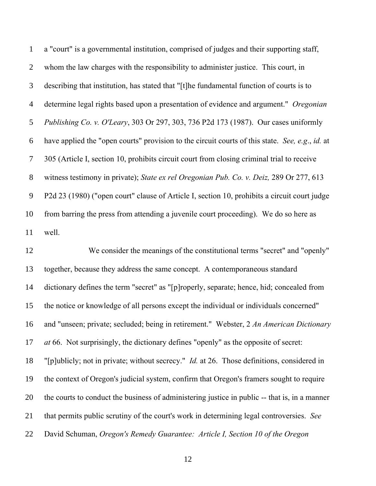a "court" is a governmental institution, comprised of judges and their supporting staff, whom the law charges with the responsibility to administer justice. This court, in describing that institution, has stated that "[t]he fundamental function of courts is to determine legal rights based upon a presentation of evidence and argument." *Oregonian Publishing Co. v. O'Leary*, 303 Or 297, 303, 736 P2d 173 (1987). Our cases uniformly have applied the "open courts" provision to the circuit courts of this state. *See, e.g*., *id.* at 305 (Article I, section 10, prohibits circuit court from closing criminal trial to receive witness testimony in private); *State ex rel Oregonian Pub. Co. v. Deiz,* 289 Or 277, 613 P2d 23 (1980) ("open court" clause of Article I, section 10, prohibits a circuit court judge from barring the press from attending a juvenile court proceeding). We do so here as well.

 We consider the meanings of the constitutional terms "secret" and "openly" together, because they address the same concept. A contemporaneous standard dictionary defines the term "secret" as "[p]roperly, separate; hence, hid; concealed from the notice or knowledge of all persons except the individual or individuals concerned" and "unseen; private; secluded; being in retirement." Webster, 2 *An American Dictionary at* 66. Not surprisingly, the dictionary defines "openly" as the opposite of secret: "[p]ublicly; not in private; without secrecy." *Id.* at 26. Those definitions, considered in the context of Oregon's judicial system, confirm that Oregon's framers sought to require the courts to conduct the business of administering justice in public -- that is, in a manner that permits public scrutiny of the court's work in determining legal controversies. *See* David Schuman, *Oregon's Remedy Guarantee: Article I, Section 10 of the Oregon*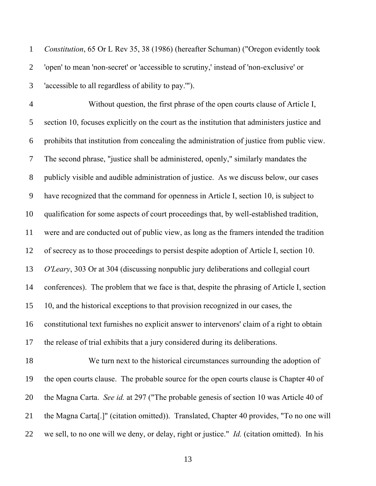*Constitution*, 65 Or L Rev 35, 38 (1986) (hereafter Schuman) ("Oregon evidently took 'open' to mean 'non-secret' or 'accessible to scrutiny,' instead of 'non-exclusive' or 'accessible to all regardless of ability to pay.'").

 Without question, the first phrase of the open courts clause of Article I, section 10, focuses explicitly on the court as the institution that administers justice and prohibits that institution from concealing the administration of justice from public view. The second phrase, "justice shall be administered, openly," similarly mandates the publicly visible and audible administration of justice. As we discuss below, our cases have recognized that the command for openness in Article I, section 10, is subject to qualification for some aspects of court proceedings that, by well-established tradition, were and are conducted out of public view, as long as the framers intended the tradition of secrecy as to those proceedings to persist despite adoption of Article I, section 10. *O'Leary*, 303 Or at 304 (discussing nonpublic jury deliberations and collegial court conferences). The problem that we face is that, despite the phrasing of Article I, section 10, and the historical exceptions to that provision recognized in our cases, the constitutional text furnishes no explicit answer to intervenors' claim of a right to obtain the release of trial exhibits that a jury considered during its deliberations.

 We turn next to the historical circumstances surrounding the adoption of the open courts clause. The probable source for the open courts clause is Chapter 40 of the Magna Carta. *See id.* at 297 ("The probable genesis of section 10 was Article 40 of the Magna Carta[.]" (citation omitted)). Translated, Chapter 40 provides, "To no one will we sell, to no one will we deny, or delay, right or justice." *Id.* (citation omitted). In his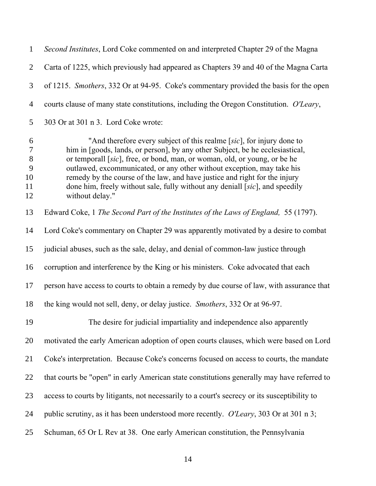*Second Institutes*, Lord Coke commented on and interpreted Chapter 29 of the Magna Carta of 1225, which previously had appeared as Chapters 39 and 40 of the Magna Carta of 1215. *Smothers*, 332 Or at 94-95. Coke's commentary provided the basis for the open courts clause of many state constitutions, including the Oregon Constitution. *O'Leary*, 303 Or at 301 n 3. Lord Coke wrote:

 "And therefore every subject of this realme [*sic*], for injury done to him in [goods, lands, or person], by any other Subject, be he ecclesiastical, or temporall [*sic*], free, or bond, man, or woman, old, or young, or be he outlawed, excommunicated, or any other without exception, may take his remedy by the course of the law, and have justice and right for the injury done him, freely without sale, fully without any deniall [*sic*], and speedily without delay."

Edward Coke, 1 *The Second Part of the Institutes of the Laws of England,* 55 (1797).

 Lord Coke's commentary on Chapter 29 was apparently motivated by a desire to combat judicial abuses, such as the sale, delay, and denial of common-law justice through

- corruption and interference by the King or his ministers. Coke advocated that each
- person have access to courts to obtain a remedy by due course of law, with assurance that

the king would not sell, deny, or delay justice. *Smothers*, 332 Or at 96-97.

The desire for judicial impartiality and independence also apparently

motivated the early American adoption of open courts clauses, which were based on Lord

Coke's interpretation. Because Coke's concerns focused on access to courts, the mandate

that courts be "open" in early American state constitutions generally may have referred to

- access to courts by litigants, not necessarily to a court's secrecy or its susceptibility to
- public scrutiny, as it has been understood more recently. *O'Leary*, 303 Or at 301 n 3;
- Schuman, 65 Or L Rev at 38. One early American constitution, the Pennsylvania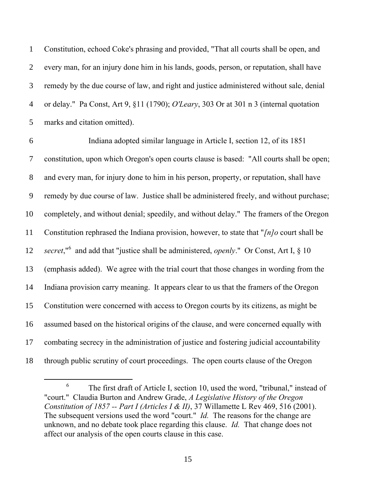Constitution, echoed Coke's phrasing and provided, "That all courts shall be open, and every man, for an injury done him in his lands, goods, person, or reputation, shall have remedy by the due course of law, and right and justice administered without sale, denial or delay." Pa Const, Art 9, §11 (1790); *O'Leary*, 303 Or at 301 n 3 (internal quotation marks and citation omitted).

 Indiana adopted similar language in Article I, section 12, of its 1851 constitution, upon which Oregon's open courts clause is based: "All courts shall be open; and every man, for injury done to him in his person, property, or reputation, shall have remedy by due course of law. Justice shall be administered freely, and without purchase; completely, and without denial; speedily, and without delay." The framers of the Oregon Constitution rephrased the Indiana provision, however, to state that "*[n]o* court shall be *secret*,<sup>"6</sup> and add that "justice shall be administered, *openly*." Or Const, Art I, § 10 (emphasis added). We agree with the trial court that those changes in wording from the Indiana provision carry meaning. It appears clear to us that the framers of the Oregon Constitution were concerned with access to Oregon courts by its citizens, as might be assumed based on the historical origins of the clause, and were concerned equally with combating secrecy in the administration of justice and fostering judicial accountability through public scrutiny of court proceedings. The open courts clause of the Oregon

 $\overline{a}$ 

 The first draft of Article I, section 10, used the word, "tribunal," instead of "court." Claudia Burton and Andrew Grade, *A Legislative History of the Oregon Constitution of 1857 -- Part I (Articles I & II)*, 37 Willamette L Rev 469, 516 (2001). The subsequent versions used the word "court." *Id.* The reasons for the change are unknown, and no debate took place regarding this clause. *Id.* That change does not affect our analysis of the open courts clause in this case.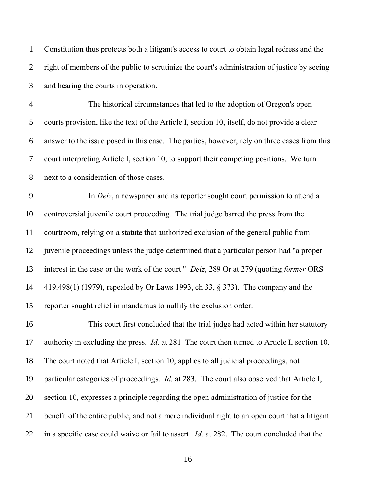Constitution thus protects both a litigant's access to court to obtain legal redress and the right of members of the public to scrutinize the court's administration of justice by seeing and hearing the courts in operation.

 The historical circumstances that led to the adoption of Oregon's open courts provision, like the text of the Article I, section 10, itself, do not provide a clear answer to the issue posed in this case. The parties, however, rely on three cases from this court interpreting Article I, section 10, to support their competing positions. We turn next to a consideration of those cases.

 In *Deiz*, a newspaper and its reporter sought court permission to attend a controversial juvenile court proceeding. The trial judge barred the press from the courtroom, relying on a statute that authorized exclusion of the general public from juvenile proceedings unless the judge determined that a particular person had "a proper interest in the case or the work of the court." *Deiz*, 289 Or at 279 (quoting *former* ORS 419.498(1) (1979), repealed by Or Laws 1993, ch 33, § 373). The company and the reporter sought relief in mandamus to nullify the exclusion order.

 This court first concluded that the trial judge had acted within her statutory authority in excluding the press. *Id.* at 281 The court then turned to Article I, section 10. The court noted that Article I, section 10, applies to all judicial proceedings, not particular categories of proceedings. *Id.* at 283. The court also observed that Article I, section 10, expresses a principle regarding the open administration of justice for the benefit of the entire public, and not a mere individual right to an open court that a litigant in a specific case could waive or fail to assert. *Id.* at 282. The court concluded that the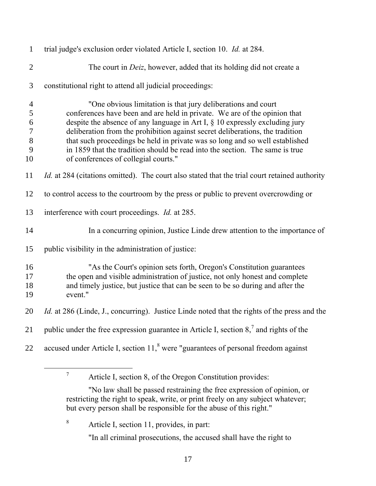| $\mathbf{1}$                                                                      | trial judge's exclusion order violated Article I, section 10. Id. at 284.                                                                                                                                                                                                                                                                                                                                                                                                                                            |
|-----------------------------------------------------------------------------------|----------------------------------------------------------------------------------------------------------------------------------------------------------------------------------------------------------------------------------------------------------------------------------------------------------------------------------------------------------------------------------------------------------------------------------------------------------------------------------------------------------------------|
| $\overline{2}$                                                                    | The court in <i>Deiz</i> , however, added that its holding did not create a                                                                                                                                                                                                                                                                                                                                                                                                                                          |
| 3                                                                                 | constitutional right to attend all judicial proceedings:                                                                                                                                                                                                                                                                                                                                                                                                                                                             |
| $\overline{4}$<br>5<br>$\boldsymbol{6}$<br>$\boldsymbol{7}$<br>$\,8\,$<br>9<br>10 | "One obvious limitation is that jury deliberations and court<br>conferences have been and are held in private. We are of the opinion that<br>despite the absence of any language in Art I, $\S$ 10 expressly excluding jury<br>deliberation from the prohibition against secret deliberations, the tradition<br>that such proceedings be held in private was so long and so well established<br>in 1859 that the tradition should be read into the section. The same is true<br>of conferences of collegial courts." |
| 11                                                                                | <i>Id.</i> at 284 (citations omitted). The court also stated that the trial court retained authority                                                                                                                                                                                                                                                                                                                                                                                                                 |
| 12                                                                                | to control access to the courtroom by the press or public to prevent overcrowding or                                                                                                                                                                                                                                                                                                                                                                                                                                 |
| 13                                                                                | interference with court proceedings. <i>Id.</i> at 285.                                                                                                                                                                                                                                                                                                                                                                                                                                                              |
| 14                                                                                | In a concurring opinion, Justice Linde drew attention to the importance of                                                                                                                                                                                                                                                                                                                                                                                                                                           |
| 15                                                                                | public visibility in the administration of justice:                                                                                                                                                                                                                                                                                                                                                                                                                                                                  |
| 16<br>17<br>18<br>19                                                              | "As the Court's opinion sets forth, Oregon's Constitution guarantees<br>the open and visible administration of justice, not only honest and complete<br>and timely justice, but justice that can be seen to be so during and after the<br>event."                                                                                                                                                                                                                                                                    |
| 20                                                                                | <i>Id.</i> at 286 (Linde, J., concurring). Justice Linde noted that the rights of the press and the                                                                                                                                                                                                                                                                                                                                                                                                                  |
| 21                                                                                | public under the free expression guarantee in Article I, section $87$ and rights of the                                                                                                                                                                                                                                                                                                                                                                                                                              |
| 22                                                                                | accused under Article I, section 11, <sup>8</sup> were "guarantees of personal freedom against                                                                                                                                                                                                                                                                                                                                                                                                                       |

Article I, section 8, of the Oregon Constitution provides:

Article I, section 11, provides, in part:

 $\overline{a}$ 

"In all criminal prosecutions, the accused shall have the right to

<sup>&</sup>quot;No law shall be passed restraining the free expression of opinion, or restricting the right to speak, write, or print freely on any subject whatever; but every person shall be responsible for the abuse of this right."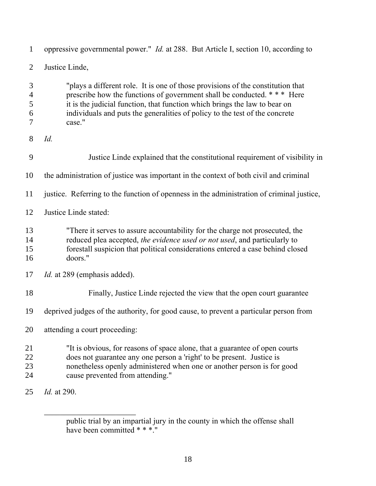| $\mathbf{1}$                       | oppressive governmental power." <i>Id.</i> at 288. But Article I, section 10, according to                                                                                                                                                                                                                                       |
|------------------------------------|----------------------------------------------------------------------------------------------------------------------------------------------------------------------------------------------------------------------------------------------------------------------------------------------------------------------------------|
| $\overline{2}$                     | Justice Linde,                                                                                                                                                                                                                                                                                                                   |
| 3<br>$\overline{4}$<br>5<br>6<br>7 | "plays a different role. It is one of those provisions of the constitution that<br>prescribe how the functions of government shall be conducted. *** Here<br>it is the judicial function, that function which brings the law to bear on<br>individuals and puts the generalities of policy to the test of the concrete<br>case." |
| 8                                  | Id.                                                                                                                                                                                                                                                                                                                              |
| 9                                  | Justice Linde explained that the constitutional requirement of visibility in                                                                                                                                                                                                                                                     |
| 10                                 | the administration of justice was important in the context of both civil and criminal                                                                                                                                                                                                                                            |
| 11                                 | justice. Referring to the function of openness in the administration of criminal justice,                                                                                                                                                                                                                                        |
| 12                                 | Justice Linde stated:                                                                                                                                                                                                                                                                                                            |
| 13<br>14<br>15<br>16               | "There it serves to assure accountability for the charge not prosecuted, the<br>reduced plea accepted, the evidence used or not used, and particularly to<br>forestall suspicion that political considerations entered a case behind closed<br>doors."                                                                           |
| 17                                 | <i>Id.</i> at 289 (emphasis added).                                                                                                                                                                                                                                                                                              |
| 18                                 | Finally, Justice Linde rejected the view that the open court guarantee                                                                                                                                                                                                                                                           |
| 19                                 | deprived judges of the authority, for good cause, to prevent a particular person from                                                                                                                                                                                                                                            |
| 20                                 | attending a court proceeding:                                                                                                                                                                                                                                                                                                    |
| 21<br>22<br>23<br>24               | "It is obvious, for reasons of space alone, that a guarantee of open courts<br>does not guarantee any one person a 'right' to be present. Justice is<br>nonetheless openly administered when one or another person is for good<br>cause prevented from attending."                                                               |
| 25                                 | <i>Id.</i> at 290.                                                                                                                                                                                                                                                                                                               |

\_\_\_\_\_\_\_\_\_\_\_\_\_\_\_\_\_\_\_\_\_\_\_

public trial by an impartial jury in the county in which the offense shall have been committed \* \* \*."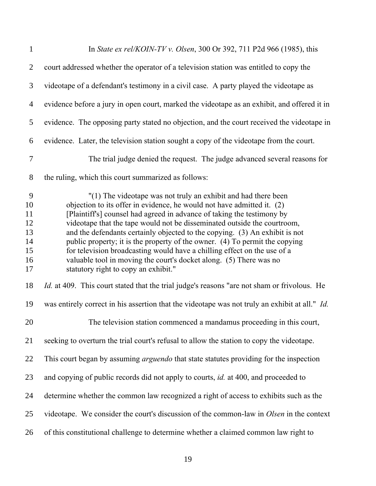| $\mathbf{1}$                                      | In State ex rel/KOIN-TV v. Olsen, 300 Or 392, 711 P2d 966 (1985), this                                                                                                                                                                                                                                                                                                                                                                                                                                                                                                                                                                                 |
|---------------------------------------------------|--------------------------------------------------------------------------------------------------------------------------------------------------------------------------------------------------------------------------------------------------------------------------------------------------------------------------------------------------------------------------------------------------------------------------------------------------------------------------------------------------------------------------------------------------------------------------------------------------------------------------------------------------------|
| $\overline{2}$                                    | court addressed whether the operator of a television station was entitled to copy the                                                                                                                                                                                                                                                                                                                                                                                                                                                                                                                                                                  |
| 3                                                 | videotape of a defendant's testimony in a civil case. A party played the videotape as                                                                                                                                                                                                                                                                                                                                                                                                                                                                                                                                                                  |
| $\overline{4}$                                    | evidence before a jury in open court, marked the videotape as an exhibit, and offered it in                                                                                                                                                                                                                                                                                                                                                                                                                                                                                                                                                            |
| 5                                                 | evidence. The opposing party stated no objection, and the court received the videotape in                                                                                                                                                                                                                                                                                                                                                                                                                                                                                                                                                              |
| 6                                                 | evidence. Later, the television station sought a copy of the videotape from the court.                                                                                                                                                                                                                                                                                                                                                                                                                                                                                                                                                                 |
| $\overline{7}$                                    | The trial judge denied the request. The judge advanced several reasons for                                                                                                                                                                                                                                                                                                                                                                                                                                                                                                                                                                             |
| 8                                                 | the ruling, which this court summarized as follows:                                                                                                                                                                                                                                                                                                                                                                                                                                                                                                                                                                                                    |
| 9<br>10<br>11<br>12<br>13<br>14<br>15<br>16<br>17 | "(1) The videotape was not truly an exhibit and had there been<br>objection to its offer in evidence, he would not have admitted it. (2)<br>[Plaintiff's] counsel had agreed in advance of taking the testimony by<br>videotape that the tape would not be disseminated outside the courtroom,<br>and the defendants certainly objected to the copying. (3) An exhibit is not<br>public property; it is the property of the owner. (4) To permit the copying<br>for television broadcasting would have a chilling effect on the use of a<br>valuable tool in moving the court's docket along. (5) There was no<br>statutory right to copy an exhibit." |
| 18                                                | <i>Id.</i> at 409. This court stated that the trial judge's reasons "are not sham or frivolous. He                                                                                                                                                                                                                                                                                                                                                                                                                                                                                                                                                     |
| 19                                                | was entirely correct in his assertion that the videotape was not truly an exhibit at all." <i>Id.</i>                                                                                                                                                                                                                                                                                                                                                                                                                                                                                                                                                  |
| 20                                                | The television station commenced a mandamus proceeding in this court,                                                                                                                                                                                                                                                                                                                                                                                                                                                                                                                                                                                  |
| 21                                                | seeking to overturn the trial court's refusal to allow the station to copy the videotape.                                                                                                                                                                                                                                                                                                                                                                                                                                                                                                                                                              |
| 22                                                | This court began by assuming <i>arguendo</i> that state statutes providing for the inspection                                                                                                                                                                                                                                                                                                                                                                                                                                                                                                                                                          |
| 23                                                | and copying of public records did not apply to courts, <i>id.</i> at 400, and proceeded to                                                                                                                                                                                                                                                                                                                                                                                                                                                                                                                                                             |
| 24                                                | determine whether the common law recognized a right of access to exhibits such as the                                                                                                                                                                                                                                                                                                                                                                                                                                                                                                                                                                  |
| 25                                                | videotape. We consider the court's discussion of the common-law in <i>Olsen</i> in the context                                                                                                                                                                                                                                                                                                                                                                                                                                                                                                                                                         |
| 26                                                | of this constitutional challenge to determine whether a claimed common law right to                                                                                                                                                                                                                                                                                                                                                                                                                                                                                                                                                                    |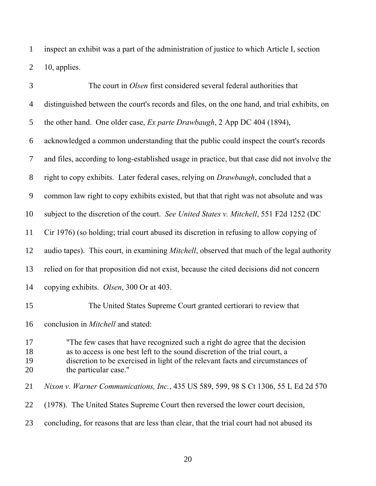inspect an exhibit was a part of the administration of justice to which Article I, section 10, applies.

| 3                    | The court in Olsen first considered several federal authorities that                                                                                                                                                                                                  |
|----------------------|-----------------------------------------------------------------------------------------------------------------------------------------------------------------------------------------------------------------------------------------------------------------------|
| $\overline{4}$       | distinguished between the court's records and files, on the one hand, and trial exhibits, on                                                                                                                                                                          |
| 5                    | the other hand. One older case, Ex parte Drawbaugh, 2 App DC 404 (1894),                                                                                                                                                                                              |
| 6                    | acknowledged a common understanding that the public could inspect the court's records                                                                                                                                                                                 |
| $\overline{7}$       | and files, according to long-established usage in practice, but that case did not involve the                                                                                                                                                                         |
| 8                    | right to copy exhibits. Later federal cases, relying on Drawbaugh, concluded that a                                                                                                                                                                                   |
| 9                    | common law right to copy exhibits existed, but that that right was not absolute and was                                                                                                                                                                               |
| 10                   | subject to the discretion of the court. See United States v. Mitchell, 551 F2d 1252 (DC                                                                                                                                                                               |
| 11                   | Cir 1976) (so holding; trial court abused its discretion in refusing to allow copying of                                                                                                                                                                              |
| 12                   | audio tapes). This court, in examining <i>Mitchell</i> , observed that much of the legal authority                                                                                                                                                                    |
| 13                   | relied on for that proposition did not exist, because the cited decisions did not concern                                                                                                                                                                             |
| 14                   | copying exhibits. Olsen, 300 Or at 403.                                                                                                                                                                                                                               |
| 15                   | The United States Supreme Court granted certiorari to review that                                                                                                                                                                                                     |
| 16                   | conclusion in <i>Mitchell</i> and stated:                                                                                                                                                                                                                             |
| 17<br>18<br>19<br>20 | "The few cases that have recognized such a right do agree that the decision<br>as to access is one best left to the sound discretion of the trial court, a<br>discretion to be exercised in light of the relevant facts and circumstances of<br>the particular case." |
| 21                   | Nixon v. Warner Communications, Inc., 435 US 589, 599, 98 S Ct 1306, 55 L Ed 2d 570                                                                                                                                                                                   |
| 22                   | (1978). The United States Supreme Court then reversed the lower court decision,                                                                                                                                                                                       |
| 23                   | concluding, for reasons that are less than clear, that the trial court had not abused its                                                                                                                                                                             |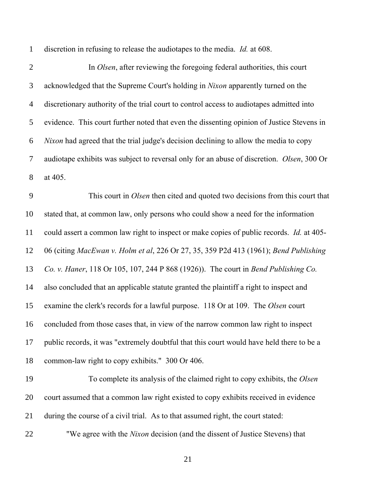discretion in refusing to release the audiotapes to the media. *Id.* at 608.

 In *Olsen*, after reviewing the foregoing federal authorities, this court acknowledged that the Supreme Court's holding in *Nixon* apparently turned on the discretionary authority of the trial court to control access to audiotapes admitted into evidence. This court further noted that even the dissenting opinion of Justice Stevens in *Nixon* had agreed that the trial judge's decision declining to allow the media to copy audiotape exhibits was subject to reversal only for an abuse of discretion. *Olsen*, 300 Or at 405. This court in *Olsen* then cited and quoted two decisions from this court that stated that, at common law, only persons who could show a need for the information could assert a common law right to inspect or make copies of public records. *Id.* at 405- 06 (citing *MacEwan v. Holm et al*, 226 Or 27, 35, 359 P2d 413 (1961); *Bend Publishing Co. v. Haner*, 118 Or 105, 107, 244 P 868 (1926)). The court in *Bend Publishing Co.* also concluded that an applicable statute granted the plaintiff a right to inspect and examine the clerk's records for a lawful purpose. 118 Or at 109. The *Olsen* court concluded from those cases that, in view of the narrow common law right to inspect public records, it was "extremely doubtful that this court would have held there to be a common-law right to copy exhibits." 300 Or 406. To complete its analysis of the claimed right to copy exhibits, the *Olsen* court assumed that a common law right existed to copy exhibits received in evidence during the course of a civil trial. As to that assumed right, the court stated: "We agree with the *Nixon* decision (and the dissent of Justice Stevens) that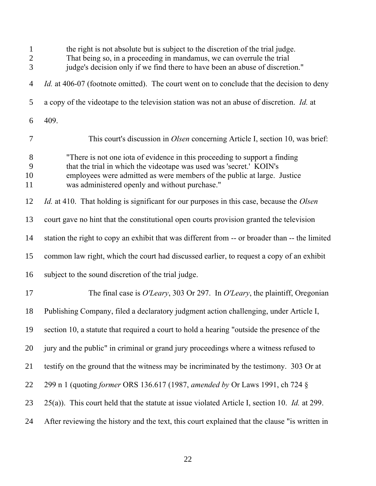| $\mathbf{1}$<br>$\overline{c}$<br>$\overline{3}$ | the right is not absolute but is subject to the discretion of the trial judge.<br>That being so, in a proceeding in mandamus, we can overrule the trial<br>judge's decision only if we find there to have been an abuse of discretion."                                        |
|--------------------------------------------------|--------------------------------------------------------------------------------------------------------------------------------------------------------------------------------------------------------------------------------------------------------------------------------|
| $\overline{4}$                                   | <i>Id.</i> at 406-07 (footnote omitted). The court went on to conclude that the decision to deny                                                                                                                                                                               |
| 5                                                | a copy of the videotape to the television station was not an abuse of discretion. <i>Id.</i> at                                                                                                                                                                                |
| 6                                                | 409.                                                                                                                                                                                                                                                                           |
| 7                                                | This court's discussion in <i>Olsen</i> concerning Article I, section 10, was brief:                                                                                                                                                                                           |
| 8<br>9<br>10<br>11                               | "There is not one iota of evidence in this proceeding to support a finding<br>that the trial in which the videotape was used was 'secret.' KOIN's<br>employees were admitted as were members of the public at large. Justice<br>was administered openly and without purchase." |
| 12                                               | <i>Id.</i> at 410. That holding is significant for our purposes in this case, because the <i>Olsen</i>                                                                                                                                                                         |
| 13                                               | court gave no hint that the constitutional open courts provision granted the television                                                                                                                                                                                        |
| 14                                               | station the right to copy an exhibit that was different from -- or broader than -- the limited                                                                                                                                                                                 |
| 15                                               | common law right, which the court had discussed earlier, to request a copy of an exhibit                                                                                                                                                                                       |
| 16                                               | subject to the sound discretion of the trial judge.                                                                                                                                                                                                                            |
| 17                                               | The final case is O'Leary, 303 Or 297. In O'Leary, the plaintiff, Oregonian                                                                                                                                                                                                    |
| 18                                               | Publishing Company, filed a declaratory judgment action challenging, under Article I,                                                                                                                                                                                          |
| 19                                               | section 10, a statute that required a court to hold a hearing "outside the presence of the                                                                                                                                                                                     |
| 20                                               | jury and the public" in criminal or grand jury proceedings where a witness refused to                                                                                                                                                                                          |
| 21                                               | testify on the ground that the witness may be incriminated by the testimony. 303 Or at                                                                                                                                                                                         |
| 22                                               | 299 n 1 (quoting former ORS 136.617 (1987, amended by Or Laws 1991, ch 724 §                                                                                                                                                                                                   |
| 23                                               | 25(a)). This court held that the statute at issue violated Article I, section 10. Id. at 299.                                                                                                                                                                                  |
| 24                                               | After reviewing the history and the text, this court explained that the clause "is written in                                                                                                                                                                                  |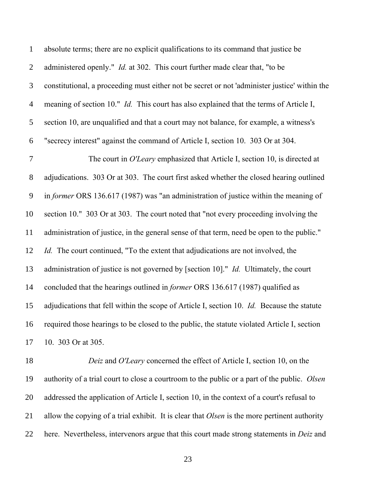| $\mathbf{1}$    | absolute terms; there are no explicit qualifications to its command that justice be                                                                                                                                             |
|-----------------|---------------------------------------------------------------------------------------------------------------------------------------------------------------------------------------------------------------------------------|
| $\overline{2}$  | administered openly." <i>Id.</i> at 302. This court further made clear that, "to be                                                                                                                                             |
| 3               | constitutional, a proceeding must either not be secret or not 'administer justice' within the                                                                                                                                   |
| $\overline{4}$  | meaning of section 10." <i>Id.</i> This court has also explained that the terms of Article I,                                                                                                                                   |
| $\mathfrak{S}$  | section 10, are unqualified and that a court may not balance, for example, a witness's                                                                                                                                          |
| 6               | "secrecy interest" against the command of Article I, section 10. 303 Or at 304.                                                                                                                                                 |
| $\overline{7}$  | The court in O'Leary emphasized that Article I, section 10, is directed at                                                                                                                                                      |
| $8\,$           | adjudications. 303 Or at 303. The court first asked whether the closed hearing outlined                                                                                                                                         |
| 9               | in former ORS 136.617 (1987) was "an administration of justice within the meaning of                                                                                                                                            |
| 10              | section 10." 303 Or at 303. The court noted that "not every proceeding involving the                                                                                                                                            |
| 11              | administration of justice, in the general sense of that term, need be open to the public."                                                                                                                                      |
| 12              | <i>Id.</i> The court continued, "To the extent that adjudications are not involved, the                                                                                                                                         |
| 13              | administration of justice is not governed by [section 10]." <i>Id.</i> Ultimately, the court                                                                                                                                    |
| 14              | concluded that the hearings outlined in <i>former</i> ORS 136.617 (1987) qualified as                                                                                                                                           |
| 15              | adjudications that fell within the scope of Article I, section 10. Id. Because the statute                                                                                                                                      |
| 16              | required those hearings to be closed to the public, the statute violated Article I, section                                                                                                                                     |
| 17              | 10. 303 Or at 305.                                                                                                                                                                                                              |
| 10 <sup>1</sup> | $\begin{bmatrix} 1 & 1 & 1 \end{bmatrix}$ of $\begin{bmatrix} 0 & 1 & 1 \end{bmatrix}$ $\begin{bmatrix} 1 & 1 & 1 \end{bmatrix}$ $\begin{bmatrix} 1 & 1 & 1 \end{bmatrix}$<br>$\mathbf{r}$<br>$\sim$ 1 $\bigcap$ $\overline{U}$ |

 *Deiz* and *O'Leary* concerned the effect of Article I, section 10, on the authority of a trial court to close a courtroom to the public or a part of the public. *Olsen* addressed the application of Article I, section 10, in the context of a court's refusal to allow the copying of a trial exhibit. It is clear that *Olsen* is the more pertinent authority here. Nevertheless, intervenors argue that this court made strong statements in *Deiz* and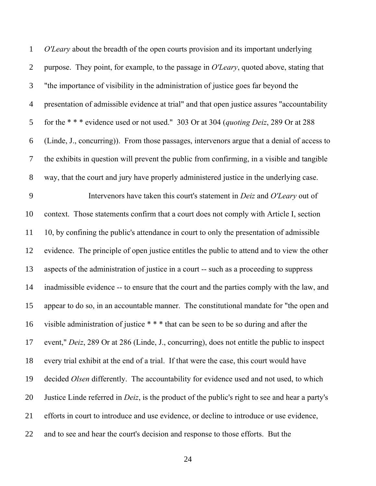*O'Leary* about the breadth of the open courts provision and its important underlying purpose. They point, for example, to the passage in *O'Leary*, quoted above, stating that "the importance of visibility in the administration of justice goes far beyond the presentation of admissible evidence at trial" and that open justice assures "accountability for the \* \* \* evidence used or not used." 303 Or at 304 (*quoting Deiz*, 289 Or at 288 (Linde, J., concurring)). From those passages, intervenors argue that a denial of access to the exhibits in question will prevent the public from confirming, in a visible and tangible way, that the court and jury have properly administered justice in the underlying case. Intervenors have taken this court's statement in *Deiz* and *O'Leary* out of context. Those statements confirm that a court does not comply with Article I, section 10, by confining the public's attendance in court to only the presentation of admissible evidence. The principle of open justice entitles the public to attend and to view the other aspects of the administration of justice in a court -- such as a proceeding to suppress inadmissible evidence -- to ensure that the court and the parties comply with the law, and appear to do so, in an accountable manner. The constitutional mandate for "the open and visible administration of justice \* \* \* that can be seen to be so during and after the event," *Deiz*, 289 Or at 286 (Linde, J., concurring), does not entitle the public to inspect every trial exhibit at the end of a trial. If that were the case, this court would have decided *Olsen* differently. The accountability for evidence used and not used, to which Justice Linde referred in *Deiz*, is the product of the public's right to see and hear a party's efforts in court to introduce and use evidence, or decline to introduce or use evidence, and to see and hear the court's decision and response to those efforts. But the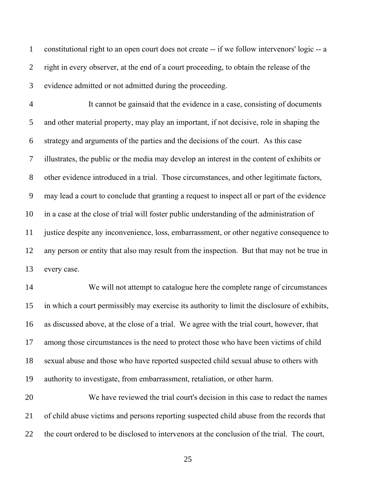constitutional right to an open court does not create -- if we follow intervenors' logic -- a right in every observer, at the end of a court proceeding, to obtain the release of the evidence admitted or not admitted during the proceeding.

 It cannot be gainsaid that the evidence in a case, consisting of documents and other material property, may play an important, if not decisive, role in shaping the strategy and arguments of the parties and the decisions of the court. As this case illustrates, the public or the media may develop an interest in the content of exhibits or other evidence introduced in a trial. Those circumstances, and other legitimate factors, may lead a court to conclude that granting a request to inspect all or part of the evidence in a case at the close of trial will foster public understanding of the administration of justice despite any inconvenience, loss, embarrassment, or other negative consequence to any person or entity that also may result from the inspection. But that may not be true in every case.

 We will not attempt to catalogue here the complete range of circumstances in which a court permissibly may exercise its authority to limit the disclosure of exhibits, as discussed above, at the close of a trial. We agree with the trial court, however, that among those circumstances is the need to protect those who have been victims of child sexual abuse and those who have reported suspected child sexual abuse to others with authority to investigate, from embarrassment, retaliation, or other harm.

 We have reviewed the trial court's decision in this case to redact the names of child abuse victims and persons reporting suspected child abuse from the records that the court ordered to be disclosed to intervenors at the conclusion of the trial. The court,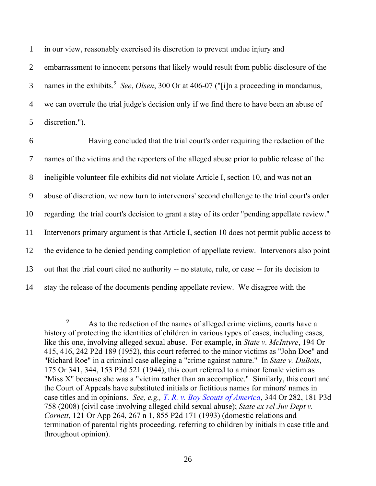1 in our view, reasonably exercised its discretion to prevent undue injury and

 embarrassment to innocent persons that likely would result from public disclosure of the names in the exhibits. 9 3 *See*, *Olsen*, 300 Or at 406-07 ("[i]n a proceeding in mandamus, we can overrule the trial judge's decision only if we find there to have been an abuse of discretion.").

 Having concluded that the trial court's order requiring the redaction of the names of the victims and the reporters of the alleged abuse prior to public release of the ineligible volunteer file exhibits did not violate Article I, section 10, and was not an abuse of discretion, we now turn to intervenors' second challenge to the trial court's order regarding the trial court's decision to grant a stay of its order "pending appellate review." Intervenors primary argument is that Article I, section 10 does not permit public access to the evidence to be denied pending completion of appellate review. Intervenors also point out that the trial court cited no authority -- no statute, rule, or case -- for its decision to stay the release of the documents pending appellate review. We disagree with the

 $\overline{a}$ 

<sup>&</sup>lt;sup>9</sup> As to the redaction of the names of alleged crime victims, courts have a history of protecting the identities of children in various types of cases, including cases, like this one, involving alleged sexual abuse. For example, in *State v. McIntyre*, 194 Or 415, 416, 242 P2d 189 (1952), this court referred to the minor victims as "John Doe" and "Richard Roe" in a criminal case alleging a "crime against nature." In *State v. DuBois*, 175 Or 341, 344, 153 P3d 521 (1944), this court referred to a minor female victim as "Miss X" because she was a "victim rather than an accomplice." Similarly, this court and the Court of Appeals have substituted initials or fictitious names for minors' names in case titles and in opinions. *See, e.g., T. [R. v. Boy Scouts of America](http://www.publications.ojd.state.or.us/Publications/S054071.htm)*, 344 Or 282, 181 P3d 758 (2008) (civil case involving alleged child sexual abuse); *State ex rel Juv Dept v. Cornett*, 121 Or App 264, 267 n 1, 855 P2d 171 (1993) (domestic relations and termination of parental rights proceeding, referring to children by initials in case title and throughout opinion).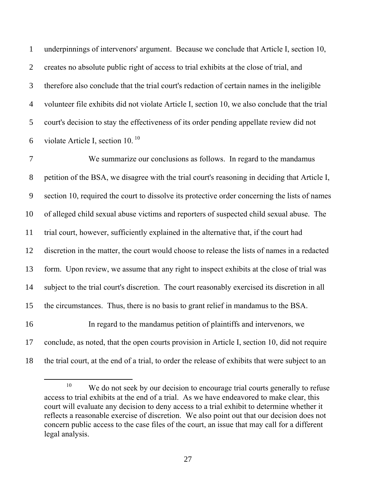underpinnings of intervenors' argument. Because we conclude that Article I, section 10, creates no absolute public right of access to trial exhibits at the close of trial, and therefore also conclude that the trial court's redaction of certain names in the ineligible volunteer file exhibits did not violate Article I, section 10, we also conclude that the trial court's decision to stay the effectiveness of its order pending appellate review did not 6 violate Article I, section  $10^{10}$ 

 We summarize our conclusions as follows. In regard to the mandamus petition of the BSA, we disagree with the trial court's reasoning in deciding that Article I, section 10, required the court to dissolve its protective order concerning the lists of names of alleged child sexual abuse victims and reporters of suspected child sexual abuse. The trial court, however, sufficiently explained in the alternative that, if the court had discretion in the matter, the court would choose to release the lists of names in a redacted form. Upon review, we assume that any right to inspect exhibits at the close of trial was subject to the trial court's discretion. The court reasonably exercised its discretion in all the circumstances. Thus, there is no basis to grant relief in mandamus to the BSA. In regard to the mandamus petition of plaintiffs and intervenors, we conclude, as noted, that the open courts provision in Article I, section 10, did not require the trial court, at the end of a trial, to order the release of exhibits that were subject to an

 $\overline{a}$ 

<sup>&</sup>lt;sup>10</sup> We do not seek by our decision to encourage trial courts generally to refuse access to trial exhibits at the end of a trial. As we have endeavored to make clear, this court will evaluate any decision to deny access to a trial exhibit to determine whether it reflects a reasonable exercise of discretion. We also point out that our decision does not concern public access to the case files of the court, an issue that may call for a different legal analysis.